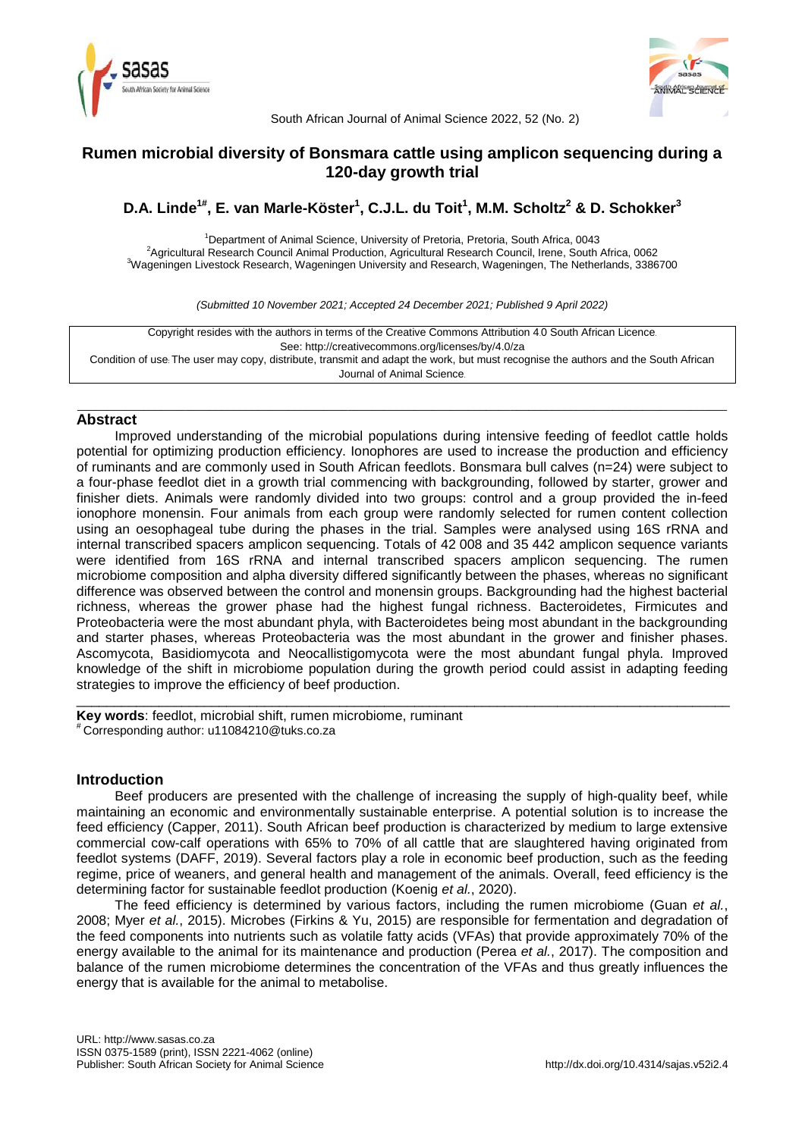



South African Journal of Animal Science 2022, 52 (No. 2)

# **Rumen microbial diversity of Bonsmara cattle using amplicon sequencing during a 120-day growth trial**

**D.A. Linde1# , E. van Marle-Köster<sup>1</sup> , C.J.L. du Toit<sup>1</sup> , M.M. Scholtz<sup>2</sup> & D. Schokker<sup>3</sup>**

<sup>1</sup>Department of Animal Science, University of Pretoria, Pretoria, South Africa, 0043 <sup>2</sup>Agricultural Research Council Animal Production, Agricultural Research Council, Irene, South Africa, 0062 <sup>3</sup>Wageningen Livestock Research, Wageningen University and Research, Wageningen, The Netherlands, 3386700

*(Submitted 10 November 2021; Accepted 24 December 2021; Published 9 April 2022)*

Copyright resides with the authors in terms of the Creative Commons Attribution 4.0 South African Licence. See: http://creativecommons.org/licenses/by/4.0/za Condition of use: The user may copy, distribute, transmit and adapt the work, but must recognise the authors and the South African Journal of Animal Science.

\_\_\_\_\_\_\_\_\_\_\_\_\_\_\_\_\_\_\_\_\_\_\_\_\_\_\_\_\_\_\_\_\_\_\_\_\_\_\_\_\_\_\_\_\_\_\_\_\_\_\_\_\_\_\_\_\_\_\_\_\_\_\_\_\_\_\_\_\_\_\_\_\_\_\_\_\_\_\_\_\_\_\_\_\_\_\_\_\_\_\_\_\_\_\_\_\_\_\_\_\_\_\_\_\_\_\_\_

# **Abstract**

Improved understanding of the microbial populations during intensive feeding of feedlot cattle holds potential for optimizing production efficiency. Ionophores are used to increase the production and efficiency of ruminants and are commonly used in South African feedlots. Bonsmara bull calves (n=24) were subject to a four-phase feedlot diet in a growth trial commencing with backgrounding, followed by starter, grower and finisher diets. Animals were randomly divided into two groups: control and a group provided the in-feed ionophore monensin. Four animals from each group were randomly selected for rumen content collection using an oesophageal tube during the phases in the trial. Samples were analysed using 16S rRNA and internal transcribed spacers amplicon sequencing. Totals of 42 008 and 35 442 amplicon sequence variants were identified from 16S rRNA and internal transcribed spacers amplicon sequencing. The rumen microbiome composition and alpha diversity differed significantly between the phases, whereas no significant difference was observed between the control and monensin groups. Backgrounding had the highest bacterial richness, whereas the grower phase had the highest fungal richness. Bacteroidetes, Firmicutes and Proteobacteria were the most abundant phyla, with Bacteroidetes being most abundant in the backgrounding and starter phases, whereas Proteobacteria was the most abundant in the grower and finisher phases. Ascomycota, Basidiomycota and Neocallistigomycota were the most abundant fungal phyla. Improved knowledge of the shift in microbiome population during the growth period could assist in adapting feeding strategies to improve the efficiency of beef production.

\_\_\_\_\_\_\_\_\_\_\_\_\_\_\_\_\_\_\_\_\_\_\_\_\_\_\_\_\_\_\_\_\_\_\_\_\_\_\_\_\_\_\_\_\_\_\_\_\_\_\_\_\_\_\_\_\_\_\_\_\_\_\_\_\_\_\_\_\_\_\_\_\_\_\_\_\_\_\_\_\_\_\_\_\_\_\_ **Key words**: feedlot, microbial shift, rumen microbiome, ruminant # Corresponding author: u11084210@tuks.co.za

# **Introduction**

Beef producers are presented with the challenge of increasing the supply of high-quality beef, while maintaining an economic and environmentally sustainable enterprise. A potential solution is to increase the feed efficiency (Capper, 2011). South African beef production is characterized by medium to large extensive commercial cow-calf operations with 65% to 70% of all cattle that are slaughtered having originated from feedlot systems (DAFF, 2019). Several factors play a role in economic beef production, such as the feeding regime, price of weaners, and general health and management of the animals. Overall, feed efficiency is the determining factor for sustainable feedlot production (Koenig *et al.*, 2020).

The feed efficiency is determined by various factors, including the rumen microbiome (Guan *et al.*, 2008; Myer *et al.*, 2015). Microbes (Firkins & Yu, 2015) are responsible for fermentation and degradation of the feed components into nutrients such as volatile fatty acids (VFAs) that provide approximately 70% of the energy available to the animal for its maintenance and production (Perea *et al.*, 2017). The composition and balance of the rumen microbiome determines the concentration of the VFAs and thus greatly influences the energy that is available for the animal to metabolise.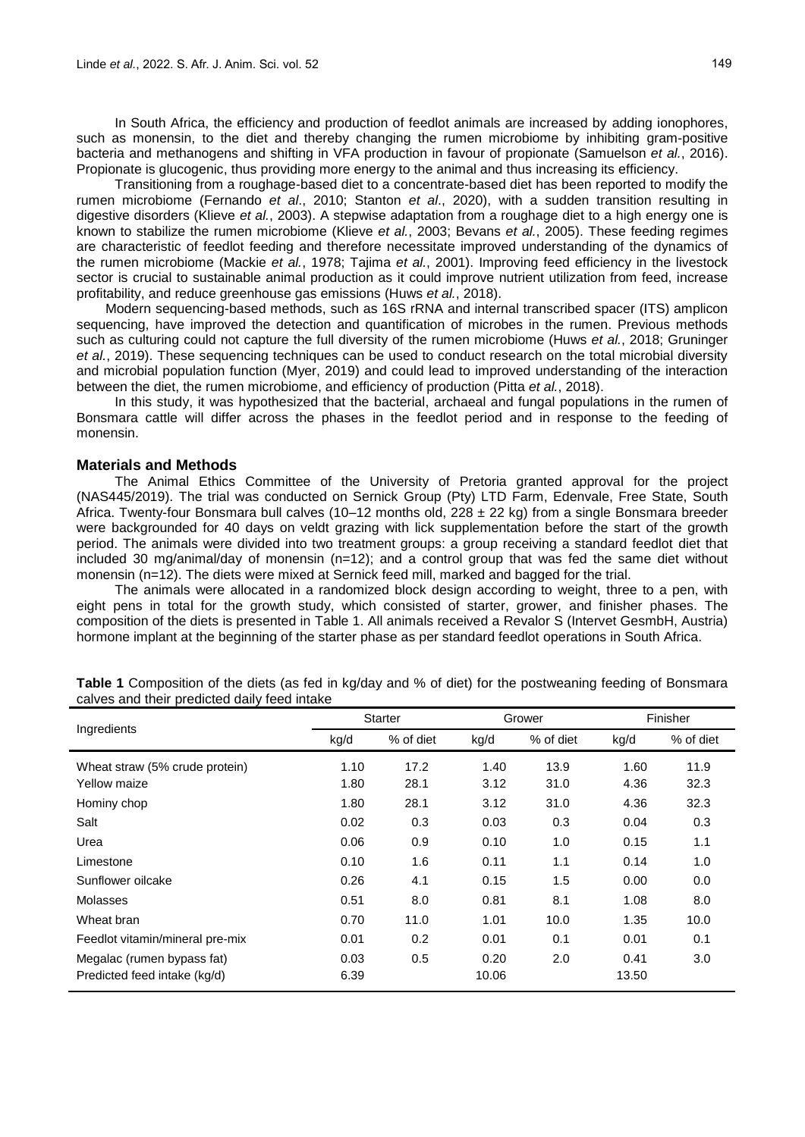In South Africa, the efficiency and production of feedlot animals are increased by adding ionophores, such as monensin, to the diet and thereby changing the rumen microbiome by inhibiting gram-positive bacteria and methanogens and shifting in VFA production in favour of propionate (Samuelson *et al.*, 2016). Propionate is glucogenic, thus providing more energy to the animal and thus increasing its efficiency.

Transitioning from a roughage-based diet to a concentrate-based diet has been reported to modify the rumen microbiome (Fernando *et al*., 2010; Stanton *et al*., 2020), with a sudden transition resulting in digestive disorders (Klieve *et al.*, 2003). A stepwise adaptation from a roughage diet to a high energy one is known to stabilize the rumen microbiome (Klieve *et al.*, 2003; Bevans *et al.*, 2005). These feeding regimes are characteristic of feedlot feeding and therefore necessitate improved understanding of the dynamics of the rumen microbiome (Mackie *et al.*, 1978; Tajima *et al.*, 2001). Improving feed efficiency in the livestock sector is crucial to sustainable animal production as it could improve nutrient utilization from feed, increase profitability, and reduce greenhouse gas emissions (Huws *et al.*, 2018).

Modern sequencing-based methods, such as 16S rRNA and internal transcribed spacer (ITS) amplicon sequencing, have improved the detection and quantification of microbes in the rumen. Previous methods such as culturing could not capture the full diversity of the rumen microbiome (Huws *et al.*, 2018; Gruninger *et al.*, 2019). These sequencing techniques can be used to conduct research on the total microbial diversity and microbial population function (Myer, 2019) and could lead to improved understanding of the interaction between the diet, the rumen microbiome, and efficiency of production (Pitta *et al.*, 2018).

In this study, it was hypothesized that the bacterial, archaeal and fungal populations in the rumen of Bonsmara cattle will differ across the phases in the feedlot period and in response to the feeding of monensin.

# **Materials and Methods**

The Animal Ethics Committee of the University of Pretoria granted approval for the project (NAS445/2019). The trial was conducted on Sernick Group (Pty) LTD Farm, Edenvale, Free State, South Africa. Twenty-four Bonsmara bull calves (10–12 months old,  $228 \pm 22$  kg) from a single Bonsmara breeder were backgrounded for 40 days on veldt grazing with lick supplementation before the start of the growth period. The animals were divided into two treatment groups: a group receiving a standard feedlot diet that included 30 mg/animal/day of monensin (n=12); and a control group that was fed the same diet without monensin (n=12). The diets were mixed at Sernick feed mill, marked and bagged for the trial.

The animals were allocated in a randomized block design according to weight, three to a pen, with eight pens in total for the growth study, which consisted of starter, grower, and finisher phases. The composition of the diets is presented in Table 1. All animals received a Revalor S (Intervet GesmbH, Austria) hormone implant at the beginning of the starter phase as per standard feedlot operations in South Africa.

| Ingredients                     | <b>Starter</b> |           | Grower |           | Finisher |           |
|---------------------------------|----------------|-----------|--------|-----------|----------|-----------|
|                                 | kg/d           | % of diet | kg/d   | % of diet | kg/d     | % of diet |
| Wheat straw (5% crude protein)  | 1.10           | 17.2      | 1.40   | 13.9      | 1.60     | 11.9      |
| Yellow maize                    | 1.80           | 28.1      | 3.12   | 31.0      | 4.36     | 32.3      |
| Hominy chop                     | 1.80           | 28.1      | 3.12   | 31.0      | 4.36     | 32.3      |
| Salt                            | 0.02           | 0.3       | 0.03   | 0.3       | 0.04     | 0.3       |
| Urea                            | 0.06           | 0.9       | 0.10   | 1.0       | 0.15     | 1.1       |
| Limestone                       | 0.10           | 1.6       | 0.11   | 1.1       | 0.14     | 1.0       |
| Sunflower oilcake               | 0.26           | 4.1       | 0.15   | 1.5       | 0.00     | 0.0       |
| Molasses                        | 0.51           | 8.0       | 0.81   | 8.1       | 1.08     | 8.0       |
| Wheat bran                      | 0.70           | 11.0      | 1.01   | 10.0      | 1.35     | 10.0      |
| Feedlot vitamin/mineral pre-mix | 0.01           | 0.2       | 0.01   | 0.1       | 0.01     | 0.1       |
| Megalac (rumen bypass fat)      | 0.03           | 0.5       | 0.20   | 2.0       | 0.41     | 3.0       |
| Predicted feed intake (kg/d)    | 6.39           |           | 10.06  |           | 13.50    |           |

**Table 1** Composition of the diets (as fed in kg/day and % of diet) for the postweaning feeding of Bonsmara calves and their predicted daily feed intake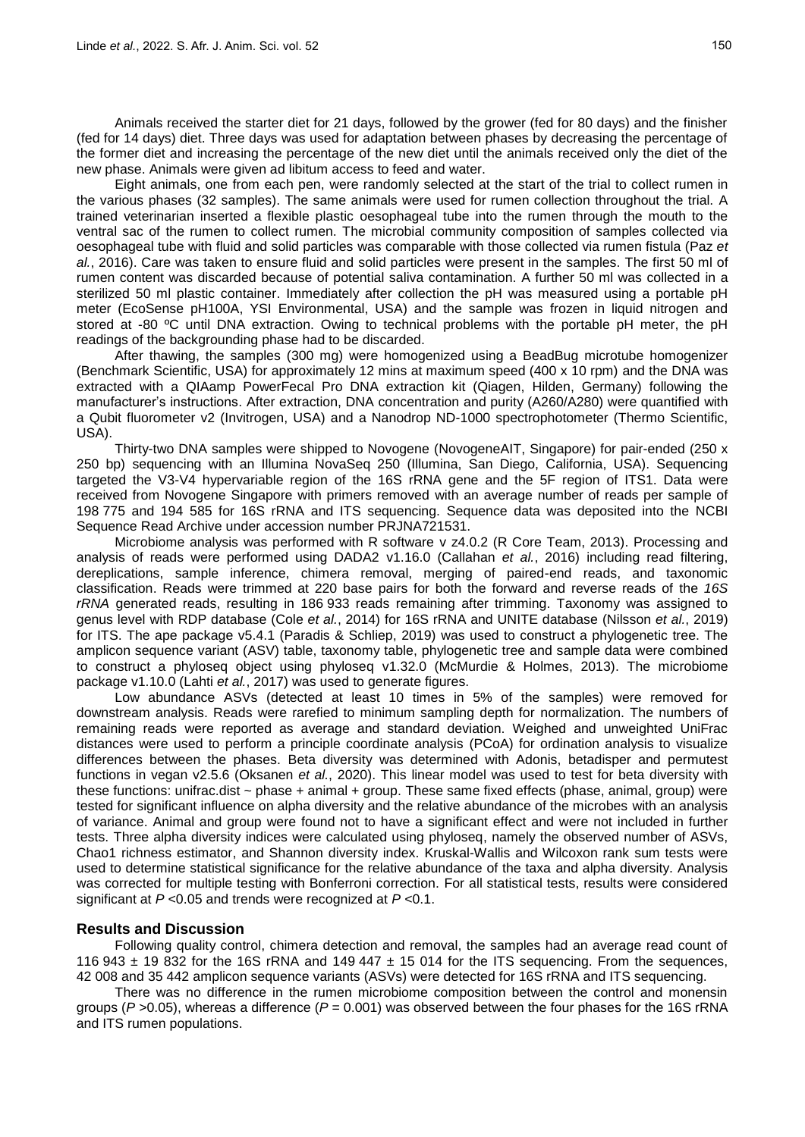Animals received the starter diet for 21 days, followed by the grower (fed for 80 days) and the finisher (fed for 14 days) diet. Three days was used for adaptation between phases by decreasing the percentage of the former diet and increasing the percentage of the new diet until the animals received only the diet of the new phase. Animals were given ad libitum access to feed and water.

Eight animals, one from each pen, were randomly selected at the start of the trial to collect rumen in the various phases (32 samples). The same animals were used for rumen collection throughout the trial. A trained veterinarian inserted a flexible plastic oesophageal tube into the rumen through the mouth to the ventral sac of the rumen to collect rumen. The microbial community composition of samples collected via oesophageal tube with fluid and solid particles was comparable with those collected via rumen fistula (Paz *et al.*, 2016). Care was taken to ensure fluid and solid particles were present in the samples. The first 50 ml of rumen content was discarded because of potential saliva contamination. A further 50 ml was collected in a sterilized 50 ml plastic container. Immediately after collection the pH was measured using a portable pH meter (EcoSense pH100A, YSI Environmental, USA) and the sample was frozen in liquid nitrogen and stored at -80 °C until DNA extraction. Owing to technical problems with the portable pH meter, the pH readings of the backgrounding phase had to be discarded.

After thawing, the samples (300 mg) were homogenized using a BeadBug microtube homogenizer (Benchmark Scientific, USA) for approximately 12 mins at maximum speed (400 x 10 rpm) and the DNA was extracted with a QIAamp PowerFecal Pro DNA extraction kit (Qiagen, Hilden, Germany) following the manufacturer's instructions. After extraction, DNA concentration and purity (A260/A280) were quantified with a Qubit fluorometer v2 (Invitrogen, USA) and a Nanodrop ND-1000 spectrophotometer (Thermo Scientific, USA).

Thirty-two DNA samples were shipped to Novogene (NovogeneAIT, Singapore) for pair-ended (250 x 250 bp) sequencing with an Illumina NovaSeq 250 (Illumina, San Diego, California, USA). Sequencing targeted the V3-V4 hypervariable region of the 16S rRNA gene and the 5F region of ITS1. Data were received from Novogene Singapore with primers removed with an average number of reads per sample of 198 775 and 194 585 for 16S rRNA and ITS sequencing. Sequence data was deposited into the NCBI Sequence Read Archive under accession number PRJNA721531.

Microbiome analysis was performed with R software v z4.0.2 (R Core Team, 2013). Processing and analysis of reads were performed using DADA2 v1.16.0 (Callahan *et al.*, 2016) including read filtering, dereplications, sample inference, chimera removal, merging of paired-end reads, and taxonomic classification. Reads were trimmed at 220 base pairs for both the forward and reverse reads of the *16S rRNA* generated reads, resulting in 186 933 reads remaining after trimming. Taxonomy was assigned to genus level with RDP database (Cole *et al.*, 2014) for 16S rRNA and UNITE database (Nilsson *et al.*, 2019) for ITS. The ape package v5.4.1 (Paradis & Schliep, 2019) was used to construct a phylogenetic tree. The amplicon sequence variant (ASV) table, taxonomy table, phylogenetic tree and sample data were combined to construct a phyloseq object using phyloseq v1.32.0 (McMurdie & Holmes, 2013). The microbiome package v1.10.0 (Lahti *et al.*, 2017) was used to generate figures.

Low abundance ASVs (detected at least 10 times in 5% of the samples) were removed for downstream analysis. Reads were rarefied to minimum sampling depth for normalization. The numbers of remaining reads were reported as average and standard deviation. Weighed and unweighted UniFrac distances were used to perform a principle coordinate analysis (PCoA) for ordination analysis to visualize differences between the phases. Beta diversity was determined with Adonis, betadisper and permutest functions in vegan v2.5.6 (Oksanen *et al.*, 2020). This linear model was used to test for beta diversity with these functions: unifrac.dist ~ phase + animal + group. These same fixed effects (phase, animal, group) were tested for significant influence on alpha diversity and the relative abundance of the microbes with an analysis of variance. Animal and group were found not to have a significant effect and were not included in further tests. Three alpha diversity indices were calculated using phyloseq, namely the observed number of ASVs, Chao1 richness estimator, and Shannon diversity index. Kruskal-Wallis and Wilcoxon rank sum tests were used to determine statistical significance for the relative abundance of the taxa and alpha diversity. Analysis was corrected for multiple testing with Bonferroni correction. For all statistical tests, results were considered significant at *P* <0.05 and trends were recognized at *P* <0.1.

# **Results and Discussion**

Following quality control, chimera detection and removal, the samples had an average read count of 116 943  $\pm$  19 832 for the 16S rRNA and 149 447  $\pm$  15 014 for the ITS sequencing. From the sequences, 42 008 and 35 442 amplicon sequence variants (ASVs) were detected for 16S rRNA and ITS sequencing.

There was no difference in the rumen microbiome composition between the control and monensin groups (*P* >0.05), whereas a difference (*P* = 0.001) was observed between the four phases for the 16S rRNA and ITS rumen populations.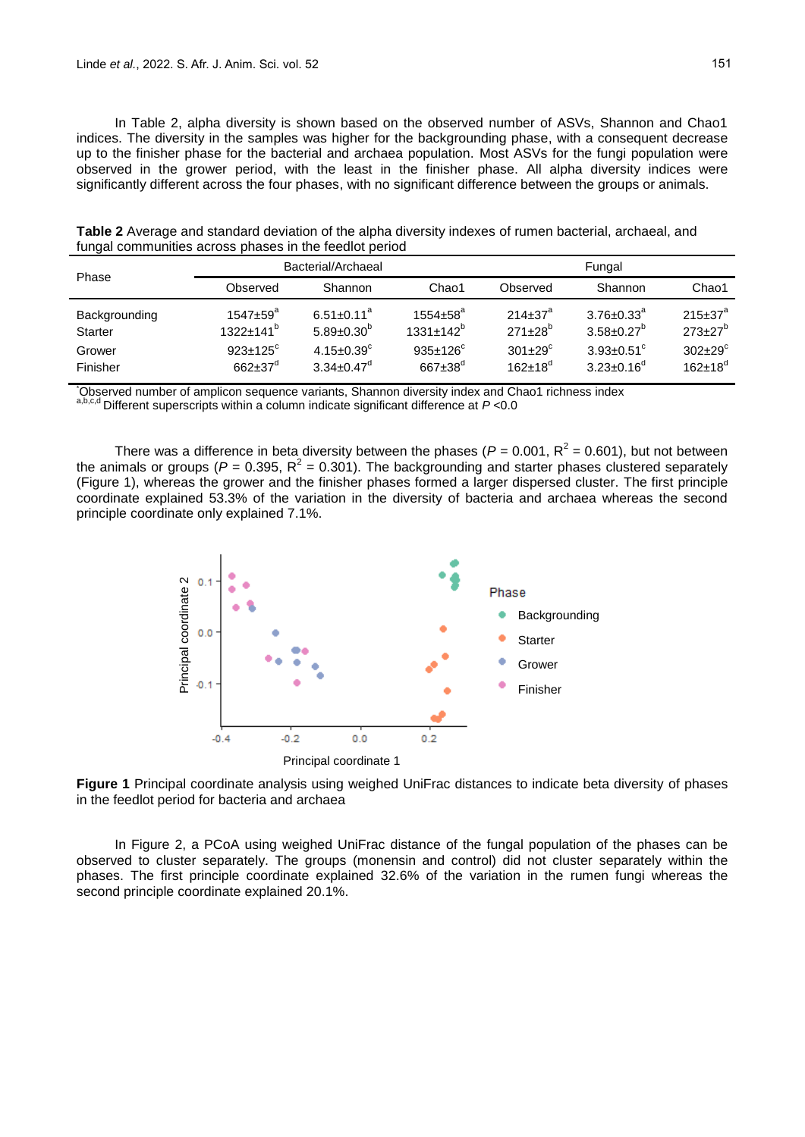In Table 2, alpha diversity is shown based on the observed number of ASVs, Shannon and Chao1 indices. The diversity in the samples was higher for the backgrounding phase, with a consequent decrease up to the finisher phase for the bacterial and archaea population. Most ASVs for the fungi population were observed in the grower period, with the least in the finisher phase. All alpha diversity indices were significantly different across the four phases, with no significant difference between the groups or animals.

| Phase                                                 |                                                                                                        | Bacterial/Archaeal                                                                      |                                                                                       | Fungal                                                             |                                                                                                          |                                                                          |  |
|-------------------------------------------------------|--------------------------------------------------------------------------------------------------------|-----------------------------------------------------------------------------------------|---------------------------------------------------------------------------------------|--------------------------------------------------------------------|----------------------------------------------------------------------------------------------------------|--------------------------------------------------------------------------|--|
|                                                       | Observed                                                                                               | Shannon                                                                                 | Chao1                                                                                 | Observed                                                           | Shannon                                                                                                  | Chao1                                                                    |  |
| Backgrounding<br><b>Starter</b><br>Grower<br>Finisher | $1547 \pm 59^{\circ}$<br>$1322 \pm 141$ <sup>b</sup><br>$923+125^{\circ}$<br>$662 \pm 37$ <sup>d</sup> | $6.51 + 0.11^a$<br>$5.89 + 0.30^{b}$<br>$4.15 \pm 0.39$ <sup>c</sup><br>$3.34 + 0.47^d$ | $1554 \pm 58^{\circ}$<br>$1331+142^{b}$<br>$935 \pm 126$ <sup>c</sup><br>$667 + 38^d$ | $214 + 37^a$<br>$271+28^{b}$<br>$301+29^{\circ}$<br>$162 + 18^{d}$ | $3.76 + 0.33^a$<br>$3.58 \pm 0.27$ <sup>b</sup><br>$3.93 + 0.51$ <sup>c</sup><br>$3.23 \pm 0.16^{\circ}$ | $215 \pm 37^a$<br>$273 \pm 27^b$<br>$302+29^{\circ}$<br>$162 \pm 18^{d}$ |  |

**Table 2** Average and standard deviation of the alpha diversity indexes of rumen bacterial, archaeal, and fungal communities across phases in the feedlot period

\*Observed number of amplicon sequence variants, Shannon diversity index and Chao1 richness index a,b,c,d Different superscripts within a column indicate significant difference at *P* <0.0

There was a difference in beta diversity between the phases ( $P = 0.001$ ,  $R^2 = 0.601$ ), but not between the animals or groups ( $P = 0.395$ ,  $R^2 = 0.301$ ). The backgrounding and starter phases clustered separately (Figure 1), whereas the grower and the finisher phases formed a larger dispersed cluster. The first principle coordinate explained 53.3% of the variation in the diversity of bacteria and archaea whereas the second principle coordinate only explained 7.1%.



**Figure 1** Principal coordinate analysis using weighed UniFrac distances to indicate beta diversity of phases in the feedlot period for bacteria and archaea

In Figure 2, a PCoA using weighed UniFrac distance of the fungal population of the phases can be observed to cluster separately. The groups (monensin and control) did not cluster separately within the phases. The first principle coordinate explained 32.6% of the variation in the rumen fungi whereas the second principle coordinate explained 20.1%.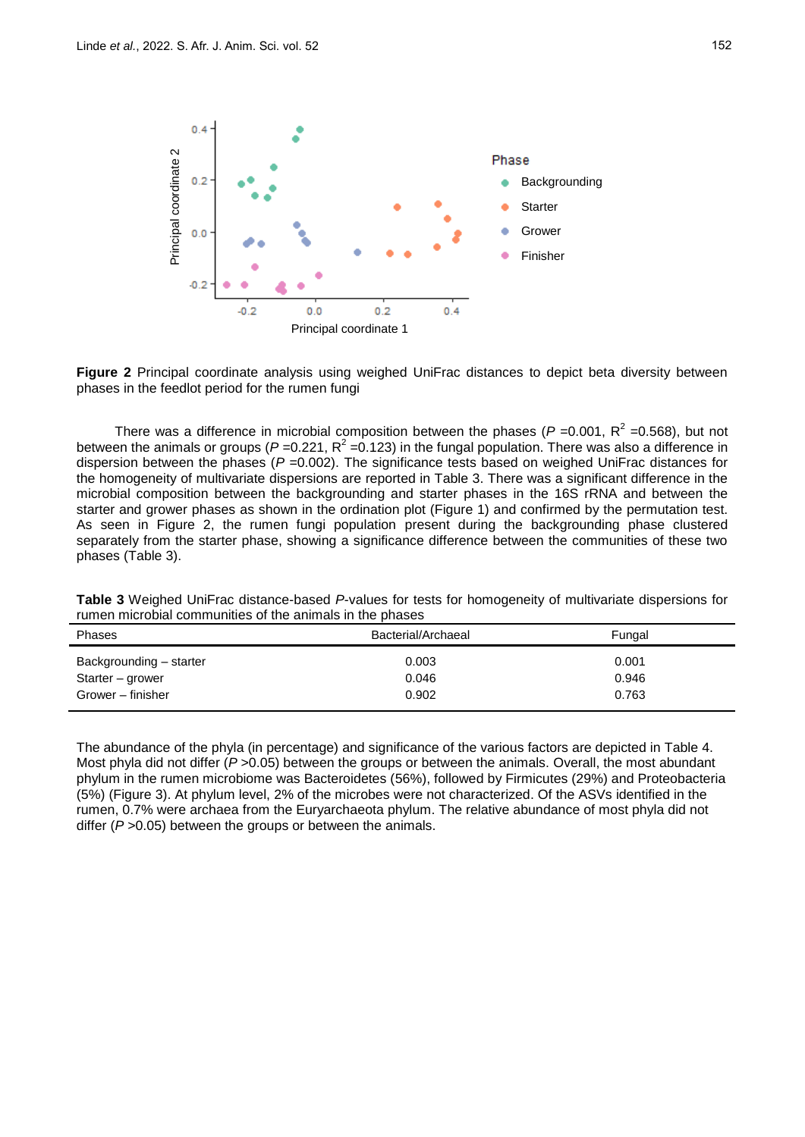

**Figure 2** Principal coordinate analysis using weighed UniFrac distances to depict beta diversity between phases in the feedlot period for the rumen fungi

There was a difference in microbial composition between the phases ( $P = 0.001$ ,  $R^2 = 0.568$ ), but not between the animals or groups ( $P = 0.221$ ,  $R^2 = 0.123$ ) in the fungal population. There was also a difference in dispersion between the phases (*P* =0.002). The significance tests based on weighed UniFrac distances for the homogeneity of multivariate dispersions are reported in Table 3. There was a significant difference in the microbial composition between the backgrounding and starter phases in the 16S rRNA and between the starter and grower phases as shown in the ordination plot (Figure 1) and confirmed by the permutation test. As seen in Figure 2, the rumen fungi population present during the backgrounding phase clustered separately from the starter phase, showing a significance difference between the communities of these two phases (Table 3).

| Turnon more communities of the animals in the phases             |                         |                         |  |  |  |  |  |
|------------------------------------------------------------------|-------------------------|-------------------------|--|--|--|--|--|
| Phases                                                           | Bacterial/Archaeal      | Fungal                  |  |  |  |  |  |
| Backgrounding - starter<br>Starter – grower<br>Grower - finisher | 0.003<br>0.046<br>0.902 | 0.001<br>0.946<br>0.763 |  |  |  |  |  |
|                                                                  |                         |                         |  |  |  |  |  |

**Table 3** Weighed UniFrac distance-based *P*-values for tests for homogeneity of multivariate dispersions for rumen microbial communities of the animals in the phases

The abundance of the phyla (in percentage) and significance of the various factors are depicted in Table 4. Most phyla did not differ ( $P > 0.05$ ) between the groups or between the animals. Overall, the most abundant phylum in the rumen microbiome was Bacteroidetes (56%), followed by Firmicutes (29%) and Proteobacteria (5%) (Figure 3). At phylum level, 2% of the microbes were not characterized. Of the ASVs identified in the rumen, 0.7% were archaea from the Euryarchaeota phylum. The relative abundance of most phyla did not differ ( $P > 0.05$ ) between the groups or between the animals.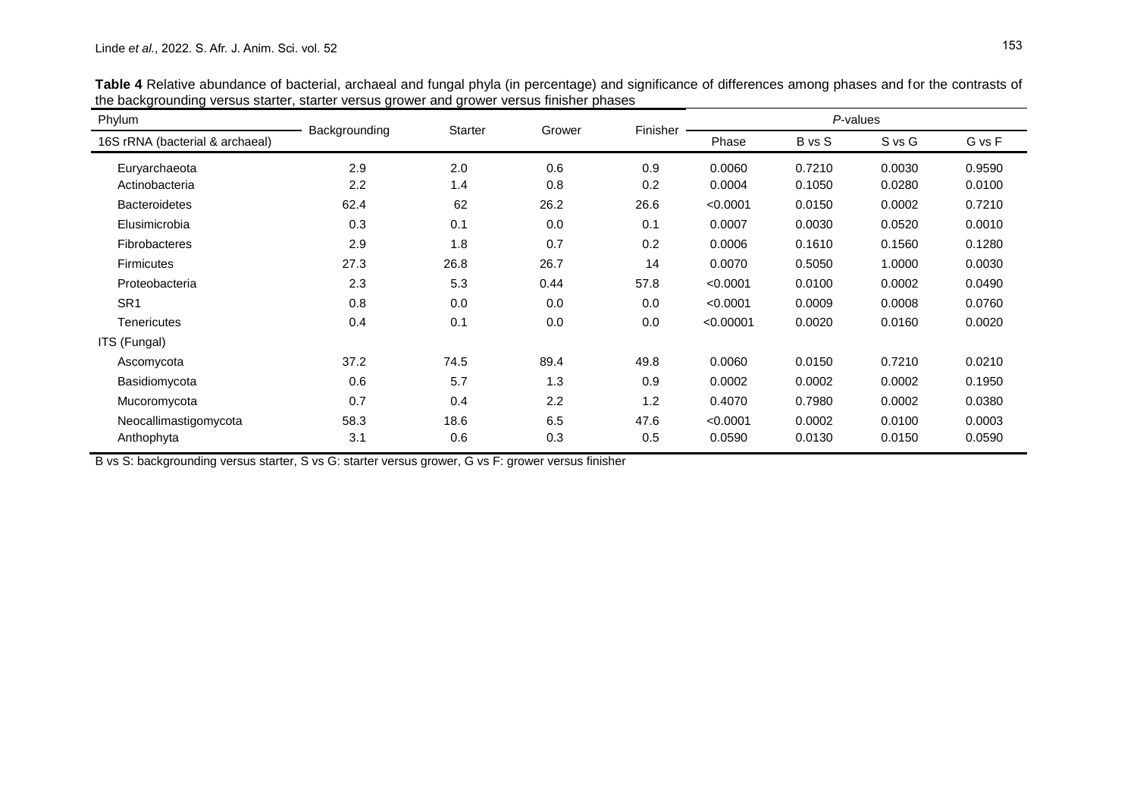| Phylum                          | Backgrounding | Starter | Grower | Finisher | P-values  |        |            |        |
|---------------------------------|---------------|---------|--------|----------|-----------|--------|------------|--------|
| 16S rRNA (bacterial & archaeal) |               |         |        |          | Phase     | B vs S | $S$ vs $G$ | G vs F |
| Euryarchaeota                   | 2.9           | 2.0     | 0.6    | 0.9      | 0.0060    | 0.7210 | 0.0030     | 0.9590 |
| Actinobacteria                  | 2.2           | 1.4     | 0.8    | 0.2      | 0.0004    | 0.1050 | 0.0280     | 0.0100 |
| <b>Bacteroidetes</b>            | 62.4          | 62      | 26.2   | 26.6     | < 0.0001  | 0.0150 | 0.0002     | 0.7210 |
| Elusimicrobia                   | 0.3           | 0.1     | 0.0    | 0.1      | 0.0007    | 0.0030 | 0.0520     | 0.0010 |
| <b>Fibrobacteres</b>            | 2.9           | 1.8     | 0.7    | 0.2      | 0.0006    | 0.1610 | 0.1560     | 0.1280 |
| <b>Firmicutes</b>               | 27.3          | 26.8    | 26.7   | 14       | 0.0070    | 0.5050 | 1.0000     | 0.0030 |
| Proteobacteria                  | 2.3           | 5.3     | 0.44   | 57.8     | < 0.0001  | 0.0100 | 0.0002     | 0.0490 |
| SR <sub>1</sub>                 | 0.8           | 0.0     | 0.0    | 0.0      | < 0.0001  | 0.0009 | 0.0008     | 0.0760 |
| Tenericutes                     | 0.4           | 0.1     | 0.0    | 0.0      | < 0.00001 | 0.0020 | 0.0160     | 0.0020 |
| ITS (Fungal)                    |               |         |        |          |           |        |            |        |
| Ascomycota                      | 37.2          | 74.5    | 89.4   | 49.8     | 0.0060    | 0.0150 | 0.7210     | 0.0210 |
| Basidiomycota                   | 0.6           | 5.7     | 1.3    | 0.9      | 0.0002    | 0.0002 | 0.0002     | 0.1950 |
| Mucoromycota                    | 0.7           | 0.4     | 2.2    | 1.2      | 0.4070    | 0.7980 | 0.0002     | 0.0380 |
| Neocallimastigomycota           | 58.3          | 18.6    | 6.5    | 47.6     | < 0.0001  | 0.0002 | 0.0100     | 0.0003 |
| Anthophyta                      | 3.1           | 0.6     | 0.3    | 0.5      | 0.0590    | 0.0130 | 0.0150     | 0.0590 |

**Table 4** Relative abundance of bacterial, archaeal and fungal phyla (in percentage) and significance of differences among phases and for the contrasts of the backgrounding versus starter, starter versus grower and grower versus finisher phases

B vs S: backgrounding versus starter, S vs G: starter versus grower, G vs F: grower versus finisher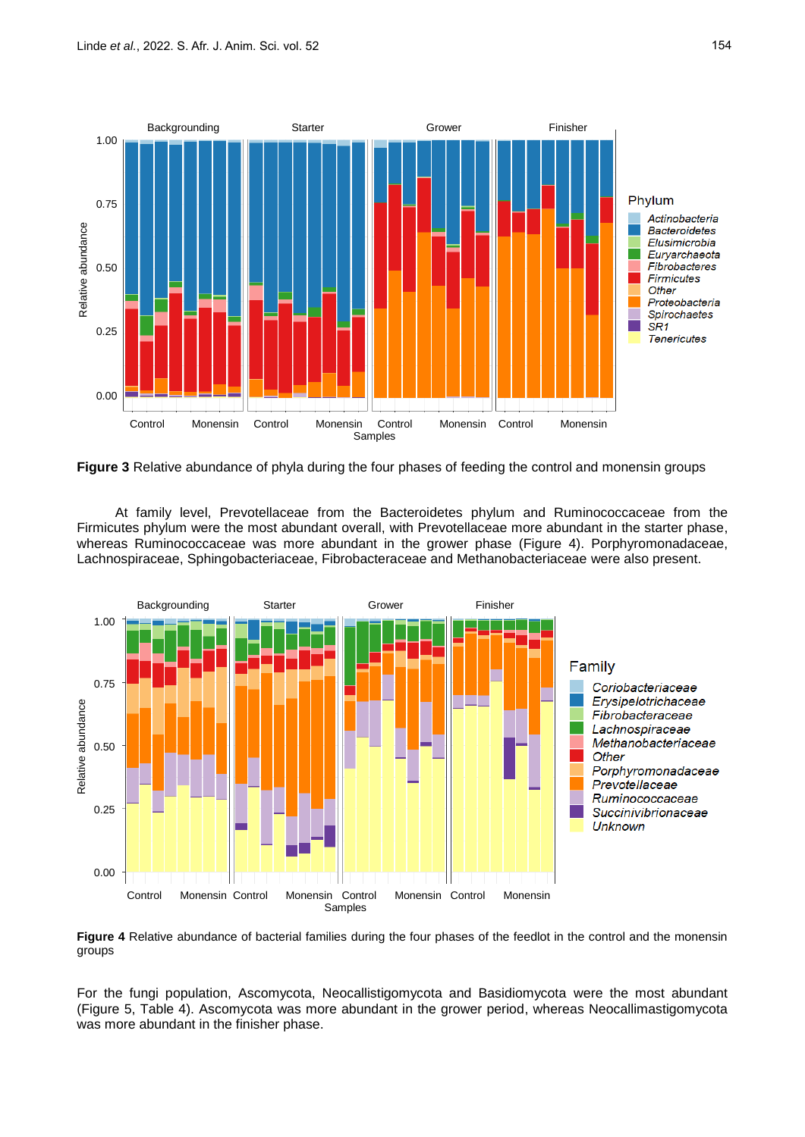

**Figure 3** Relative abundance of phyla during the four phases of feeding the control and monensin groups

At family level, Prevotellaceae from the Bacteroidetes phylum and Ruminococcaceae from the Firmicutes phylum were the most abundant overall, with Prevotellaceae more abundant in the starter phase, whereas Ruminococcaceae was more abundant in the grower phase (Figure 4). Porphyromonadaceae, Lachnospiraceae, Sphingobacteriaceae, Fibrobacteraceae and Methanobacteriaceae were also present.



**Figure 4** Relative abundance of bacterial families during the four phases of the feedlot in the control and the monensin groups

For the fungi population, Ascomycota, Neocallistigomycota and Basidiomycota were the most abundant (Figure 5, Table 4). Ascomycota was more abundant in the grower period, whereas Neocallimastigomycota was more abundant in the finisher phase.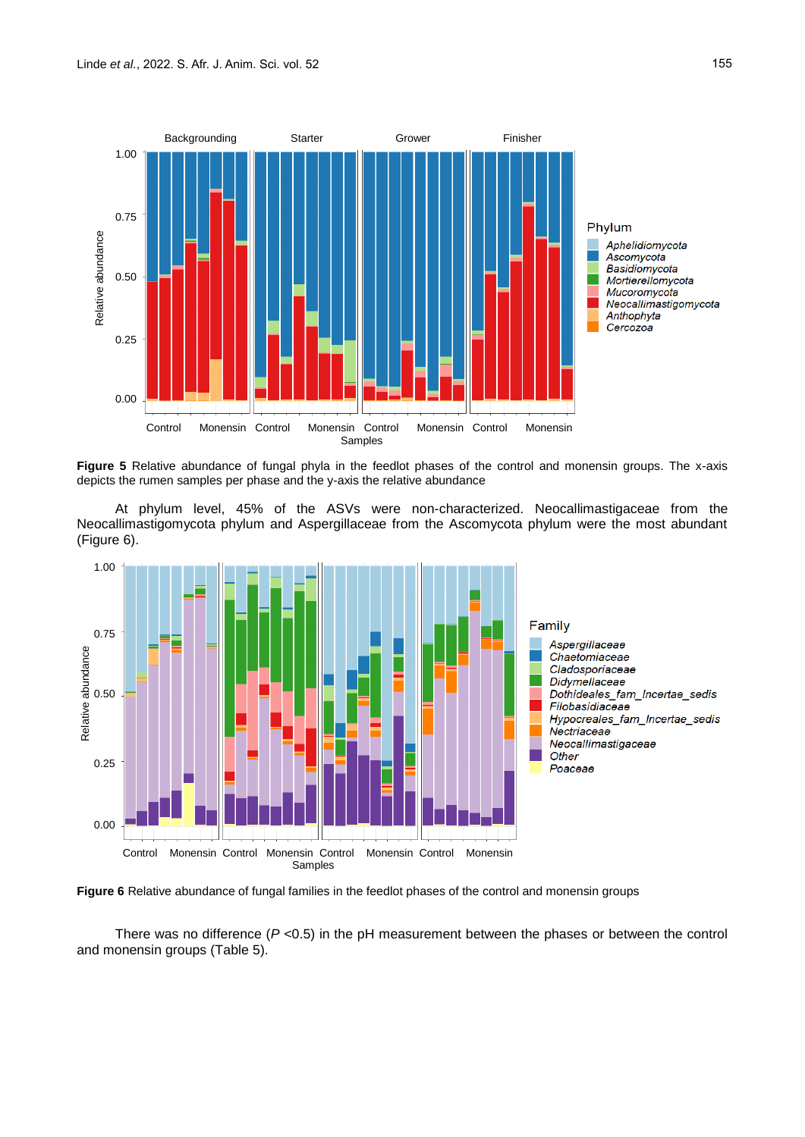

**Figure 5** Relative abundance of fungal phyla in the feedlot phases of the control and monensin groups. The x-axis depicts the rumen samples per phase and the y-axis the relative abundance

At phylum level, 45% of the ASVs were non-characterized. Neocallimastigaceae from the Neocallimastigomycota phylum and Aspergillaceae from the Ascomycota phylum were the most abundant (Figure 6).



**Figure 6** Relative abundance of fungal families in the feedlot phases of the control and monensin groups

There was no difference  $(P \le 0.5)$  in the pH measurement between the phases or between the control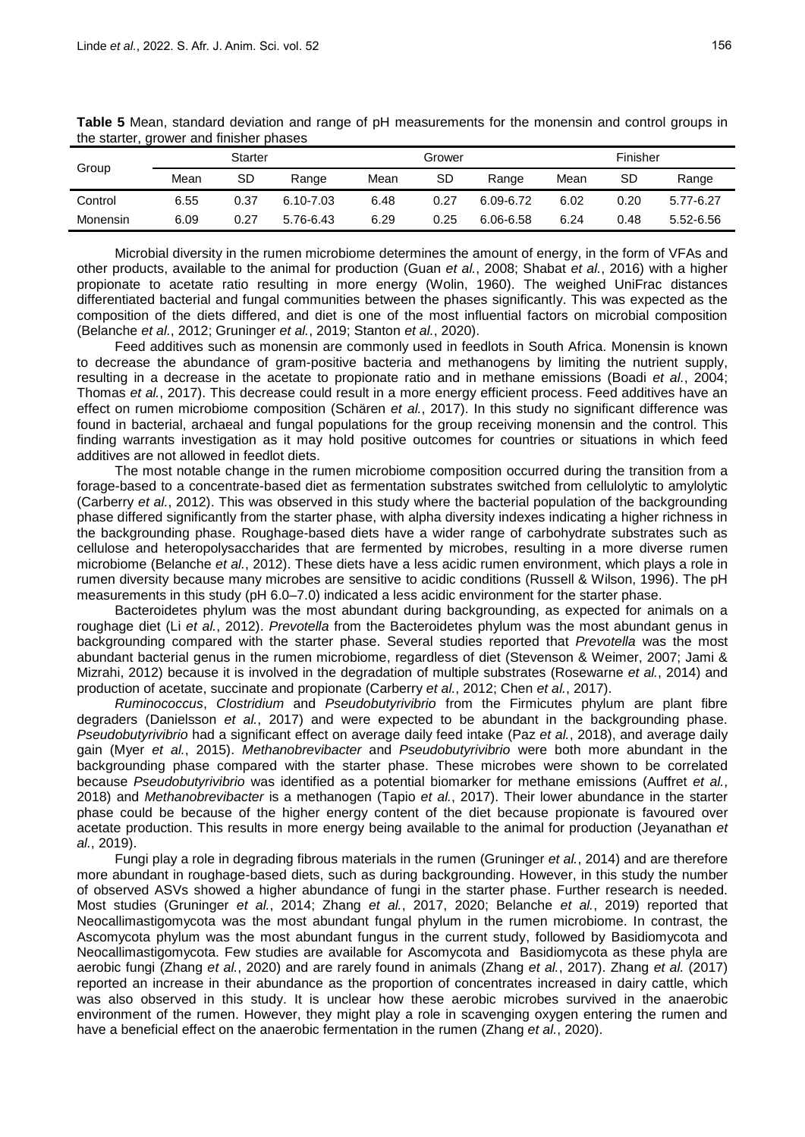| Group    |      | <b>Starter</b> |           |      | Grower |           |      | Finisher |           |  |
|----------|------|----------------|-----------|------|--------|-----------|------|----------|-----------|--|
|          | Mean | SD             | Range     | Mean | SD     | Range     | Mean | SD       | Range     |  |
| Control  | 6.55 | 0.37           | 6.10-7.03 | 6.48 | 0.27   | 6.09-6.72 | 6.02 | 0.20     | 5.77-6.27 |  |
| Monensin | 6.09 | 0.27           | 5.76-6.43 | 6.29 | 0.25   | 6.06-6.58 | 6.24 | 0.48     | 5.52-6.56 |  |

**Table 5** Mean, standard deviation and range of pH measurements for the monensin and control groups in the starter, grower and finisher phases

Microbial diversity in the rumen microbiome determines the amount of energy, in the form of VFAs and other products, available to the animal for production (Guan *et al.*, 2008; Shabat *et al.*, 2016) with a higher propionate to acetate ratio resulting in more energy (Wolin, 1960). The weighed UniFrac distances differentiated bacterial and fungal communities between the phases significantly. This was expected as the composition of the diets differed, and diet is one of the most influential factors on microbial composition (Belanche *et al.*, 2012; Gruninger *et al.*, 2019; Stanton *et al.*, 2020).

Feed additives such as monensin are commonly used in feedlots in South Africa. Monensin is known to decrease the abundance of gram-positive bacteria and methanogens by limiting the nutrient supply, resulting in a decrease in the acetate to propionate ratio and in methane emissions (Boadi *et al.*, 2004; Thomas *et al.*, 2017). This decrease could result in a more energy efficient process. Feed additives have an effect on rumen microbiome composition (Schären *et al.*, 2017). In this study no significant difference was found in bacterial, archaeal and fungal populations for the group receiving monensin and the control. This finding warrants investigation as it may hold positive outcomes for countries or situations in which feed additives are not allowed in feedlot diets.

The most notable change in the rumen microbiome composition occurred during the transition from a forage-based to a concentrate-based diet as fermentation substrates switched from cellulolytic to amylolytic (Carberry *et al.*, 2012). This was observed in this study where the bacterial population of the backgrounding phase differed significantly from the starter phase, with alpha diversity indexes indicating a higher richness in the backgrounding phase. Roughage-based diets have a wider range of carbohydrate substrates such as cellulose and heteropolysaccharides that are fermented by microbes, resulting in a more diverse rumen microbiome (Belanche *et al.*, 2012). These diets have a less acidic rumen environment, which plays a role in rumen diversity because many microbes are sensitive to acidic conditions (Russell & Wilson, 1996). The pH measurements in this study (pH 6.0–7.0) indicated a less acidic environment for the starter phase.

Bacteroidetes phylum was the most abundant during backgrounding, as expected for animals on a roughage diet (Li *et al.*, 2012). *Prevotella* from the Bacteroidetes phylum was the most abundant genus in backgrounding compared with the starter phase. Several studies reported that *Prevotella* was the most abundant bacterial genus in the rumen microbiome, regardless of diet (Stevenson & Weimer, 2007; Jami & Mizrahi, 2012) because it is involved in the degradation of multiple substrates (Rosewarne *et al.*, 2014) and production of acetate, succinate and propionate (Carberry *et al.*, 2012; Chen *et al.*, 2017).

*Ruminococcus*, *Clostridium* and *Pseudobutyrivibrio* from the Firmicutes phylum are plant fibre degraders (Danielsson *et al.*, 2017) and were expected to be abundant in the backgrounding phase. *Pseudobutyrivibrio* had a significant effect on average daily feed intake (Paz *et al.*, 2018), and average daily gain (Myer *et al.*, 2015). *Methanobrevibacter* and *Pseudobutyrivibrio* were both more abundant in the backgrounding phase compared with the starter phase. These microbes were shown to be correlated because *Pseudobutyrivibrio* was identified as a potential biomarker for methane emissions (Auffret *et al.*, 2018) and *Methanobrevibacter* is a methanogen (Tapio *et al.*, 2017). Their lower abundance in the starter phase could be because of the higher energy content of the diet because propionate is favoured over acetate production. This results in more energy being available to the animal for production (Jeyanathan *et al.*, 2019).

Fungi play a role in degrading fibrous materials in the rumen (Gruninger *et al.*, 2014) and are therefore more abundant in roughage-based diets, such as during backgrounding. However, in this study the number of observed ASVs showed a higher abundance of fungi in the starter phase. Further research is needed. Most studies (Gruninger *et al.*, 2014; Zhang *et al.*, 2017, 2020; Belanche *et al.*, 2019) reported that Neocallimastigomycota was the most abundant fungal phylum in the rumen microbiome. In contrast, the Ascomycota phylum was the most abundant fungus in the current study, followed by Basidiomycota and Neocallimastigomycota. Few studies are available for Ascomycota and Basidiomycota as these phyla are aerobic fungi (Zhang *et al.*, 2020) and are rarely found in animals (Zhang *et al.*, 2017). Zhang *et al.* (2017) reported an increase in their abundance as the proportion of concentrates increased in dairy cattle, which was also observed in this study. It is unclear how these aerobic microbes survived in the anaerobic environment of the rumen. However, they might play a role in scavenging oxygen entering the rumen and have a beneficial effect on the anaerobic fermentation in the rumen (Zhang *et al.*, 2020).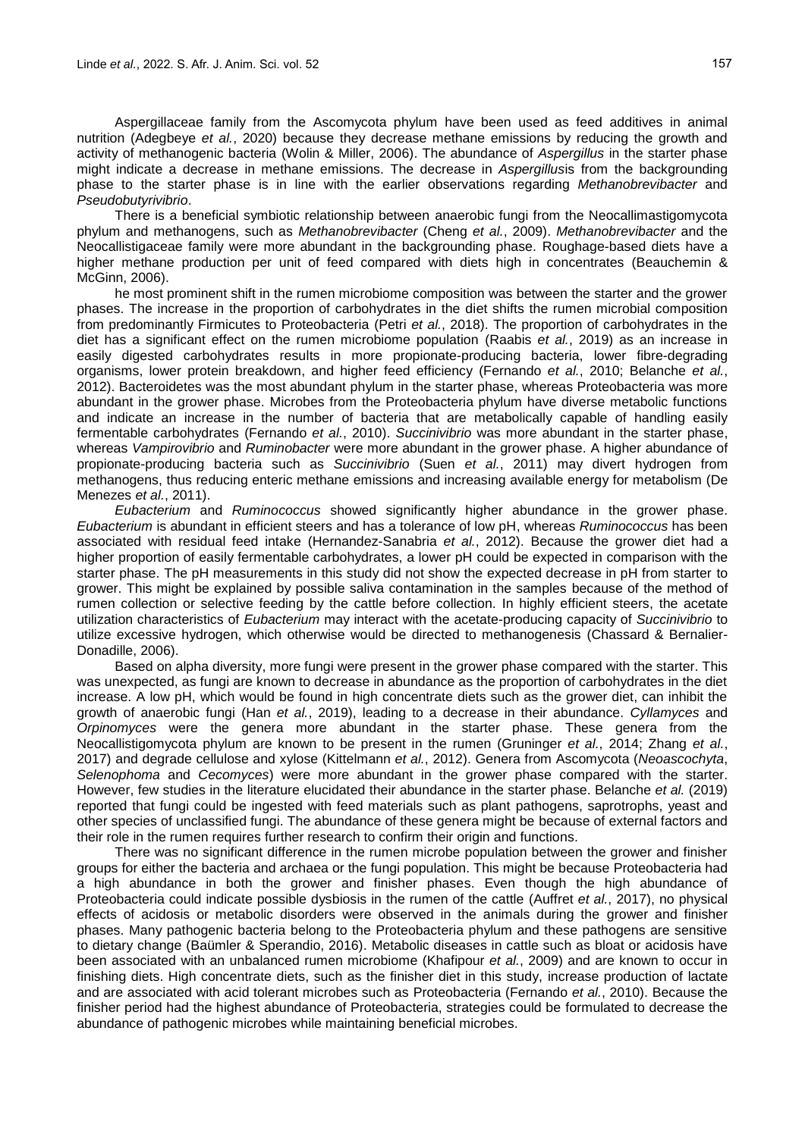Aspergillaceae family from the Ascomycota phylum have been used as feed additives in animal nutrition (Adegbeye *et al.*, 2020) because they decrease methane emissions by reducing the growth and activity of methanogenic bacteria (Wolin & Miller, 2006). The abundance of *Aspergillus* in the starter phase might indicate a decrease in methane emissions. The decrease in *Aspergillus*is from the backgrounding phase to the starter phase is in line with the earlier observations regarding *Methanobrevibacter* and *Pseudobutyrivibrio*.

There is a beneficial symbiotic relationship between anaerobic fungi from the Neocallimastigomycota phylum and methanogens, such as *Methanobrevibacter* (Cheng *et al.*, 2009). *Methanobrevibacter* and the Neocallistigaceae family were more abundant in the backgrounding phase. Roughage-based diets have a higher methane production per unit of feed compared with diets high in concentrates (Beauchemin & McGinn, 2006).

he most prominent shift in the rumen microbiome composition was between the starter and the grower phases. The increase in the proportion of carbohydrates in the diet shifts the rumen microbial composition from predominantly Firmicutes to Proteobacteria (Petri *et al.*, 2018). The proportion of carbohydrates in the diet has a significant effect on the rumen microbiome population (Raabis *et al.*, 2019) as an increase in easily digested carbohydrates results in more propionate-producing bacteria, lower fibre-degrading organisms, lower protein breakdown, and higher feed efficiency (Fernando *et al.*, 2010; Belanche *et al.*, 2012). Bacteroidetes was the most abundant phylum in the starter phase, whereas Proteobacteria was more abundant in the grower phase. Microbes from the Proteobacteria phylum have diverse metabolic functions and indicate an increase in the number of bacteria that are metabolically capable of handling easily fermentable carbohydrates (Fernando *et al.*, 2010). *Succinivibrio* was more abundant in the starter phase, whereas *Vampirovibrio* and *Ruminobacter* were more abundant in the grower phase. A higher abundance of propionate-producing bacteria such as *Succinivibrio* (Suen *et al.*, 2011) may divert hydrogen from methanogens, thus reducing enteric methane emissions and increasing available energy for metabolism (De Menezes *et al.*, 2011).

*Eubacterium* and *Ruminococcus* showed significantly higher abundance in the grower phase. *Eubacterium* is abundant in efficient steers and has a tolerance of low pH, whereas *Ruminococcus* has been associated with residual feed intake (Hernandez-Sanabria *et al.*, 2012). Because the grower diet had a higher proportion of easily fermentable carbohydrates, a lower pH could be expected in comparison with the starter phase. The pH measurements in this study did not show the expected decrease in pH from starter to grower. This might be explained by possible saliva contamination in the samples because of the method of rumen collection or selective feeding by the cattle before collection. In highly efficient steers, the acetate utilization characteristics of *Eubacterium* may interact with the acetate-producing capacity of *Succinivibrio* to utilize excessive hydrogen, which otherwise would be directed to methanogenesis (Chassard & Bernalier-Donadille, 2006).

Based on alpha diversity, more fungi were present in the grower phase compared with the starter. This was unexpected, as fungi are known to decrease in abundance as the proportion of carbohydrates in the diet increase. A low pH, which would be found in high concentrate diets such as the grower diet, can inhibit the growth of anaerobic fungi (Han *et al.*, 2019), leading to a decrease in their abundance. *Cyllamyces* and *Orpinomyces* were the genera more abundant in the starter phase. These genera from the Neocallistigomycota phylum are known to be present in the rumen (Gruninger *et al.*, 2014; Zhang *et al.*, 2017) and degrade cellulose and xylose (Kittelmann *et al.*, 2012). Genera from Ascomycota (*Neoascochyta*, *Selenophoma* and *Cecomyces*) were more abundant in the grower phase compared with the starter. However, few studies in the literature elucidated their abundance in the starter phase. Belanche *et al.* (2019) reported that fungi could be ingested with feed materials such as plant pathogens, saprotrophs, yeast and other species of unclassified fungi. The abundance of these genera might be because of external factors and their role in the rumen requires further research to confirm their origin and functions.

There was no significant difference in the rumen microbe population between the grower and finisher groups for either the bacteria and archaea or the fungi population. This might be because Proteobacteria had a high abundance in both the grower and finisher phases. Even though the high abundance of Proteobacteria could indicate possible dysbiosis in the rumen of the cattle (Auffret *et al.*, 2017), no physical effects of acidosis or metabolic disorders were observed in the animals during the grower and finisher phases. Many pathogenic bacteria belong to the Proteobacteria phylum and these pathogens are sensitive to dietary change (Baümler & Sperandio, 2016). Metabolic diseases in cattle such as bloat or acidosis have been associated with an unbalanced rumen microbiome (Khafipour *et al.*, 2009) and are known to occur in finishing diets. High concentrate diets, such as the finisher diet in this study, increase production of lactate and are associated with acid tolerant microbes such as Proteobacteria (Fernando *et al.*, 2010). Because the finisher period had the highest abundance of Proteobacteria, strategies could be formulated to decrease the abundance of pathogenic microbes while maintaining beneficial microbes.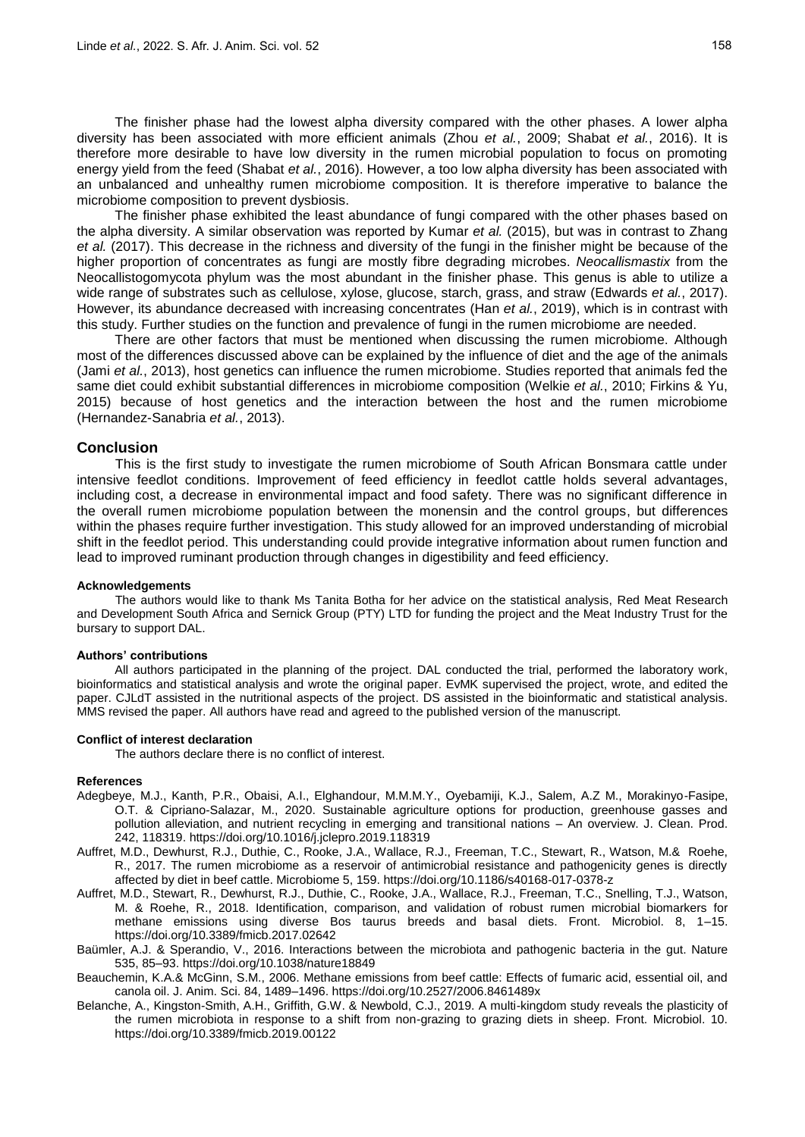The finisher phase had the lowest alpha diversity compared with the other phases. A lower alpha diversity has been associated with more efficient animals (Zhou *et al.*, 2009; Shabat *et al.*, 2016). It is therefore more desirable to have low diversity in the rumen microbial population to focus on promoting energy yield from the feed (Shabat *et al.*, 2016). However, a too low alpha diversity has been associated with an unbalanced and unhealthy rumen microbiome composition. It is therefore imperative to balance the microbiome composition to prevent dysbiosis.

The finisher phase exhibited the least abundance of fungi compared with the other phases based on the alpha diversity. A similar observation was reported by Kumar *et al.* (2015), but was in contrast to Zhang *et al.* (2017). This decrease in the richness and diversity of the fungi in the finisher might be because of the higher proportion of concentrates as fungi are mostly fibre degrading microbes. *Neocallismastix* from the Neocallistogomycota phylum was the most abundant in the finisher phase. This genus is able to utilize a wide range of substrates such as cellulose, xylose, glucose, starch, grass, and straw (Edwards *et al.*, 2017). However, its abundance decreased with increasing concentrates (Han *et al.*, 2019), which is in contrast with this study. Further studies on the function and prevalence of fungi in the rumen microbiome are needed.

There are other factors that must be mentioned when discussing the rumen microbiome. Although most of the differences discussed above can be explained by the influence of diet and the age of the animals (Jami *et al.*, 2013), host genetics can influence the rumen microbiome. Studies reported that animals fed the same diet could exhibit substantial differences in microbiome composition (Welkie *et al.*, 2010; Firkins & Yu, 2015) because of host genetics and the interaction between the host and the rumen microbiome (Hernandez-Sanabria *et al.*, 2013).

### **Conclusion**

This is the first study to investigate the rumen microbiome of South African Bonsmara cattle under intensive feedlot conditions. Improvement of feed efficiency in feedlot cattle holds several advantages, including cost, a decrease in environmental impact and food safety. There was no significant difference in the overall rumen microbiome population between the monensin and the control groups, but differences within the phases require further investigation. This study allowed for an improved understanding of microbial shift in the feedlot period. This understanding could provide integrative information about rumen function and lead to improved ruminant production through changes in digestibility and feed efficiency.

### **Acknowledgements**

The authors would like to thank Ms Tanita Botha for her advice on the statistical analysis, Red Meat Research and Development South Africa and Sernick Group (PTY) LTD for funding the project and the Meat Industry Trust for the bursary to support DAL.

### **Authors' contributions**

All authors participated in the planning of the project. DAL conducted the trial, performed the laboratory work, bioinformatics and statistical analysis and wrote the original paper. EvMK supervised the project, wrote, and edited the paper. CJLdT assisted in the nutritional aspects of the project. DS assisted in the bioinformatic and statistical analysis. MMS revised the paper. All authors have read and agreed to the published version of the manuscript.

#### **Conflict of interest declaration**

The authors declare there is no conflict of interest.

#### **References**

- Adegbeye, M.J., Kanth, P.R., Obaisi, A.I., Elghandour, M.M.M.Y., Oyebamiji, K.J., Salem, A.Z M., Morakinyo-Fasipe, O.T. & Cipriano-Salazar, M., 2020. Sustainable agriculture options for production, greenhouse gasses and pollution alleviation, and nutrient recycling in emerging and transitional nations – An overview. J. Clean. Prod. 242, 118319. https://doi.org/10.1016/j.jclepro.2019.118319
- Auffret, M.D., Dewhurst, R.J., Duthie, C., Rooke, J.A., Wallace, R.J., Freeman, T.C., Stewart, R., Watson, M.& Roehe, R., 2017. The rumen microbiome as a reservoir of antimicrobial resistance and pathogenicity genes is directly affected by diet in beef cattle. Microbiome 5, 159. https://doi.org/10.1186/s40168-017-0378-z
- Auffret, M.D., Stewart, R., Dewhurst, R.J., Duthie, C., Rooke, J.A., Wallace, R.J., Freeman, T.C., Snelling, T.J., Watson, M. & Roehe, R., 2018. Identification, comparison, and validation of robust rumen microbial biomarkers for methane emissions using diverse Bos taurus breeds and basal diets. Front. Microbiol. 8, 1–15. https://doi.org/10.3389/fmicb.2017.02642
- Baümler, A.J. & Sperandio, V., 2016. Interactions between the microbiota and pathogenic bacteria in the gut. Nature 535, 85–93. https://doi.org/10.1038/nature18849
- Beauchemin, K.A.& McGinn, S.M., 2006. Methane emissions from beef cattle: Effects of fumaric acid, essential oil, and canola oil. J. Anim. Sci. 84, 1489–1496. https://doi.org/10.2527/2006.8461489x
- Belanche, A., Kingston-Smith, A.H., Griffith, G.W. & Newbold, C.J., 2019. A multi-kingdom study reveals the plasticity of the rumen microbiota in response to a shift from non-grazing to grazing diets in sheep. Front. Microbiol. 10. <https://doi.org/10.3389/fmicb.2019.00122>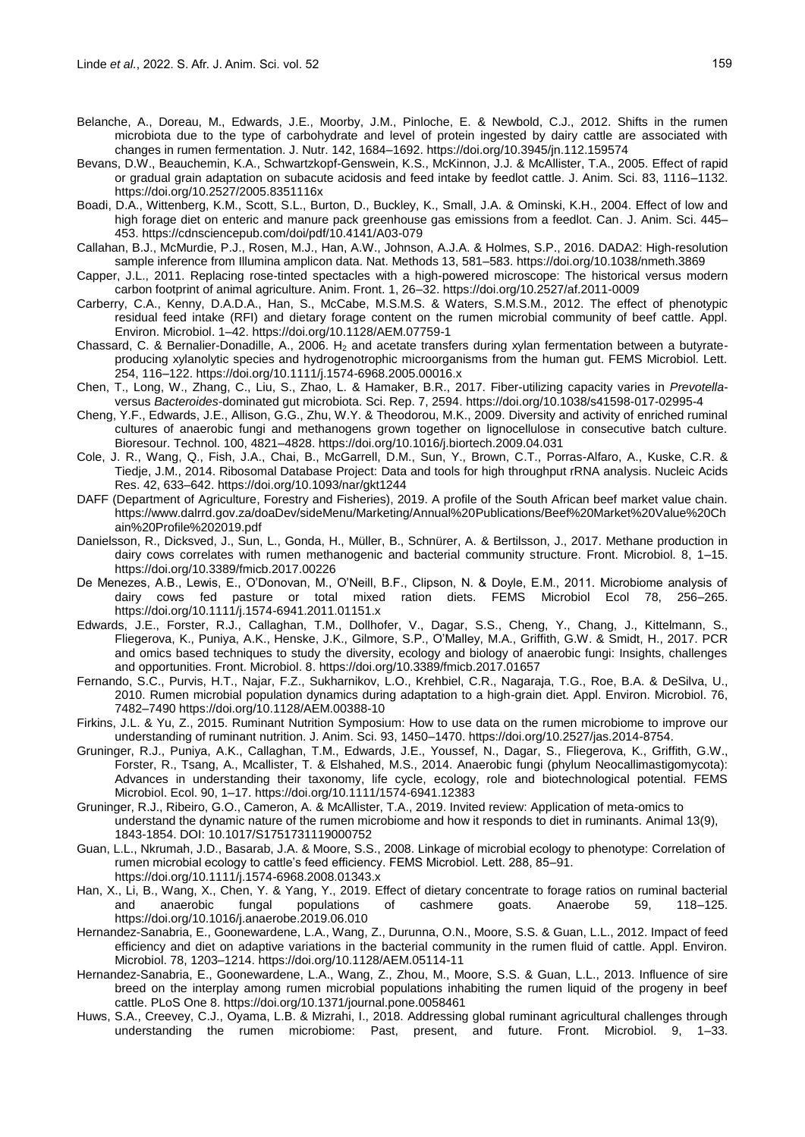- Belanche, A., Doreau, M., Edwards, J.E., Moorby, J.M., Pinloche, E. & Newbold, C.J., 2012. Shifts in the rumen microbiota due to the type of carbohydrate and level of protein ingested by dairy cattle are associated with changes in rumen fermentation. J. Nutr. 142, 1684–1692. https://doi.org/10.3945/jn.112.159574
- Bevans, D.W., Beauchemin, K.A., Schwartzkopf-Genswein, K.S., McKinnon, J.J. & McAllister, T.A., 2005. Effect of rapid or gradual grain adaptation on subacute acidosis and feed intake by feedlot cattle. J. Anim. Sci. 83, 1116–1132. https://doi.org/10.2527/2005.8351116x
- Boadi, D.A., Wittenberg, K.M., Scott, S.L., Burton, D., Buckley, K., Small, J.A. & Ominski, K.H., 2004. Effect of low and high forage diet on enteric and manure pack greenhouse gas emissions from a feedlot. Can. J. Anim. Sci. 445– 453. https://cdnsciencepub.com/doi/pdf/10.4141/A03-079
- Callahan, B.J., McMurdie, P.J., Rosen, M.J., Han, A.W., Johnson, A.J.A. & Holmes, S.P., 2016. DADA2: High-resolution sample inference from Illumina amplicon data. Nat. Methods 13, 581–583. https://doi.org/10.1038/nmeth.3869
- Capper, J.L., 2011. Replacing rose-tinted spectacles with a high-powered microscope: The historical versus modern carbon footprint of animal agriculture. Anim. Front. 1, 26–32. https://doi.org/10.2527/af.2011-0009
- Carberry, C.A., Kenny, D.A.D.A., Han, S., McCabe, M.S.M.S. & Waters, S.M.S.M., 2012. The effect of phenotypic residual feed intake (RFI) and dietary forage content on the rumen microbial community of beef cattle. Appl. Environ. Microbiol. 1–42. <https://doi.org/10.1128/AEM.07759-1>
- Chassard, C. & Bernalier-Donadille, A., 2006. H<sub>2</sub> and acetate transfers during xylan fermentation between a butyrateproducing xylanolytic species and hydrogenotrophic microorganisms from the human gut. FEMS Microbiol. Lett. 254, 116–122. https://doi.org/10.1111/j.1574-6968.2005.00016.x
- Chen, T., Long, W., Zhang, C., Liu, S., Zhao, L. & Hamaker, B.R., 2017. Fiber-utilizing capacity varies in *Prevotella*versus *Bacteroides*-dominated gut microbiota. Sci. Rep. 7, 2594. https://doi.org/10.1038/s41598-017-02995-4
- Cheng, Y.F., Edwards, J.E., Allison, G.G., Zhu, W.Y. & Theodorou, M.K., 2009. Diversity and activity of enriched ruminal cultures of anaerobic fungi and methanogens grown together on lignocellulose in consecutive batch culture. Bioresour. Technol. 100, 4821–4828. https://doi.org/10.1016/j.biortech.2009.04.031
- Cole, J. R., Wang, Q., Fish, J.A., Chai, B., McGarrell, D.M., Sun, Y., Brown, C.T., Porras-Alfaro, A., Kuske, C.R. & Tiedje, J.M., 2014. Ribosomal Database Project: Data and tools for high throughput rRNA analysis. Nucleic Acids Res. 42, 633–642. https://doi.org/10.1093/nar/gkt1244
- DAFF (Department of Agriculture, Forestry and Fisheries), 2019. A profile of the South African beef market value chain. https://www.dalrrd.gov.za/doaDev/sideMenu/Marketing/Annual%20Publications/Beef%20Market%20Value%20Ch ain%20Profile%202019.pdf
- Danielsson, R., Dicksved, J., Sun, L., Gonda, H., Müller, B., Schnürer, A. & Bertilsson, J., 2017. Methane production in dairy cows correlates with rumen methanogenic and bacterial community structure. Front. Microbiol. 8, 1–15. https://doi.org/10.3389/fmicb.2017.00226
- De Menezes, A.B., Lewis, E., O'Donovan, M., O'Neill, B.F., Clipson, N. & Doyle, E.M., 2011. Microbiome analysis of dairy cows fed pasture or total mixed ration diets. FEMS Microbiol Ecol 78, 256–265. https://doi.org/10.1111/j.1574-6941.2011.01151.x
- Edwards, J.E., Forster, R.J., Callaghan, T.M., Dollhofer, V., Dagar, S.S., Cheng, Y., Chang, J., Kittelmann, S., Fliegerova, K., Puniya, A.K., Henske, J.K., Gilmore, S.P., O'Malley, M.A., Griffith, G.W. & Smidt, H., 2017. PCR and omics based techniques to study the diversity, ecology and biology of anaerobic fungi: Insights, challenges and opportunities. Front. Microbiol. 8. https://doi.org/10.3389/fmicb.2017.01657
- Fernando, S.C., Purvis, H.T., Najar, F.Z., Sukharnikov, L.O., Krehbiel, C.R., Nagaraja, T.G., Roe, B.A. & DeSilva, U., 2010. Rumen microbial population dynamics during adaptation to a high-grain diet. Appl. Environ. Microbiol. 76, 7482–7490 https://doi.org/10.1128/AEM.00388-10
- Firkins, J.L. & Yu, Z., 2015. Ruminant Nutrition Symposium: How to use data on the rumen microbiome to improve our understanding of ruminant nutrition. J. Anim. Sci. 93, 1450–1470. https://doi.org/10.2527/jas.2014-8754.
- Gruninger, R.J., Puniya, A.K., Callaghan, T.M., Edwards, J.E., Youssef, N., Dagar, S., Fliegerova, K., Griffith, G.W., Forster, R., Tsang, A., Mcallister, T. & Elshahed, M.S., 2014. Anaerobic fungi (phylum Neocallimastigomycota): Advances in understanding their taxonomy, life cycle, ecology, role and biotechnological potential. FEMS Microbiol. Ecol. 90, 1–17. https://doi.org/10.1111/1574-6941.12383
- Gruninger, R.J., Ribeiro, G.O., Cameron, A. & McAllister, T.A., 2019. Invited review: Application of meta-omics to understand the dynamic nature of the rumen microbiome and how it responds to diet in ruminants. Animal 13(9), 1843-1854. DOI: 10.1017/S1751731119000752
- Guan, L.L., Nkrumah, J.D., Basarab, J.A. & Moore, S.S., 2008. Linkage of microbial ecology to phenotype: Correlation of rumen microbial ecology to cattle's feed efficiency. FEMS Microbiol. Lett. 288, 85–91. https://doi.org/10.1111/j.1574-6968.2008.01343.x
- Han, X., Li, B., Wang, X., Chen, Y. & Yang, Y., 2019. Effect of dietary concentrate to forage ratios on ruminal bacterial and anaerobic fungal populations of cashmere goats. Anaerobe 59, 118–125. https://doi.org/10.1016/j.anaerobe.2019.06.010
- Hernandez-Sanabria, E., Goonewardene, L.A., Wang, Z., Durunna, O.N., Moore, S.S. & Guan, L.L., 2012. Impact of feed efficiency and diet on adaptive variations in the bacterial community in the rumen fluid of cattle. Appl. Environ. Microbiol. 78, 1203–1214. https://doi.org/10.1128/AEM.05114-11
- Hernandez-Sanabria, E., Goonewardene, L.A., Wang, Z., Zhou, M., Moore, S.S. & Guan, L.L., 2013. Influence of sire breed on the interplay among rumen microbial populations inhabiting the rumen liquid of the progeny in beef cattle. PLoS One 8. https://doi.org/10.1371/journal.pone.0058461
- Huws, S.A., Creevey, C.J., Oyama, L.B. & Mizrahi, I., 2018. Addressing global ruminant agricultural challenges through understanding the rumen microbiome: Past, present, and future. Front. Microbiol. 9, 1–33.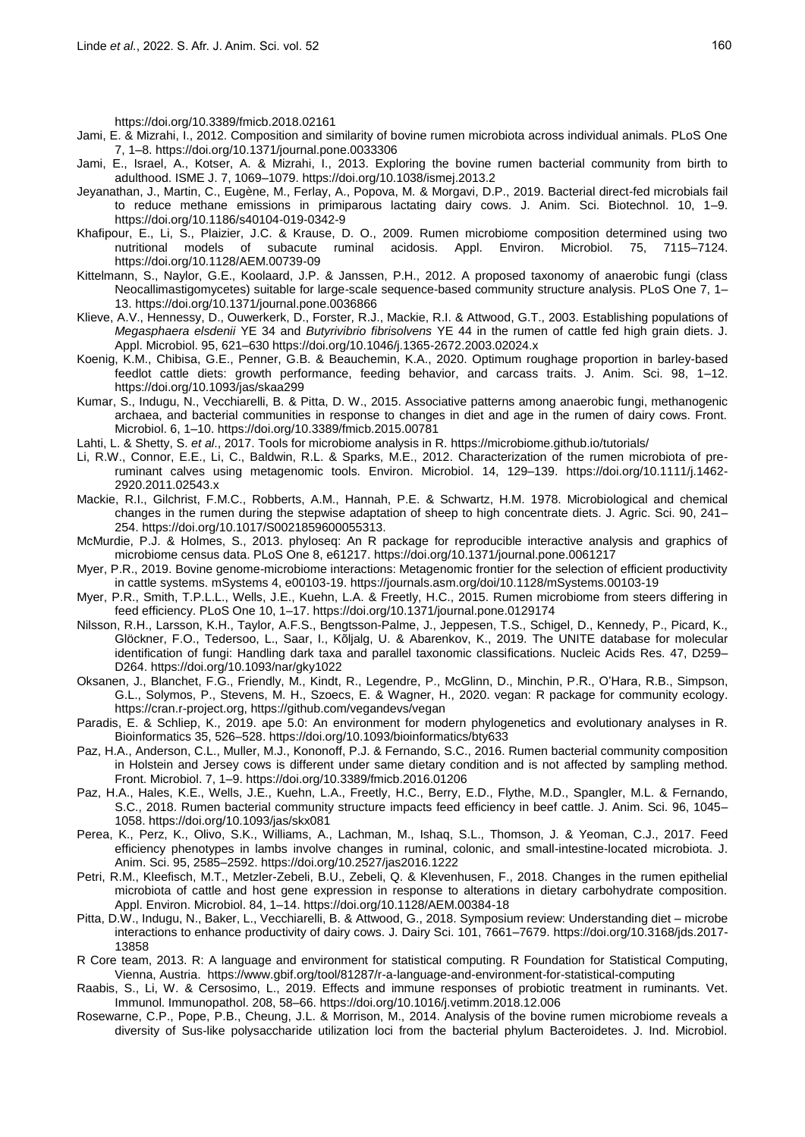https://doi.org/10.3389/fmicb.2018.02161

- Jami, E. & Mizrahi, I., 2012. Composition and similarity of bovine rumen microbiota across individual animals. PLoS One 7, 1–8.<https://doi.org/10.1371/journal.pone.0033306>
- Jami, E., Israel, A., Kotser, A. & Mizrahi, I., 2013. Exploring the bovine rumen bacterial community from birth to adulthood. ISME J. 7, 1069–1079. https://doi.org/10.1038/ismej.2013.2
- Jeyanathan, J., Martin, C., Eugène, M., Ferlay, A., Popova, M. & Morgavi, D.P., 2019. Bacterial direct-fed microbials fail to reduce methane emissions in primiparous lactating dairy cows. J. Anim. Sci. Biotechnol. 10, 1–9. https://doi.org/10.1186/s40104-019-0342-9
- Khafipour, E., Li, S., Plaizier, J.C. & Krause, D. O., 2009. Rumen microbiome composition determined using two nutritional models of subacute ruminal acidosis. Appl. Environ. Microbiol. 75, 7115–7124. https://doi.org/10.1128/AEM.00739-09
- Kittelmann, S., Naylor, G.E., Koolaard, J.P. & Janssen, P.H., 2012. A proposed taxonomy of anaerobic fungi (class Neocallimastigomycetes) suitable for large-scale sequence-based community structure analysis. PLoS One 7, 1– 13. https://doi.org/10.1371/journal.pone.0036866
- Klieve, A.V., Hennessy, D., Ouwerkerk, D., Forster, R.J., Mackie, R.I. & Attwood, G.T., 2003. Establishing populations of *Megasphaera elsdenii* YE 34 and *Butyrivibrio fibrisolvens* YE 44 in the rumen of cattle fed high grain diets. J. Appl. Microbiol. 95, 621–630 https://doi.org/10.1046/j.1365-2672.2003.02024.x
- Koenig, K.M., Chibisa, G.E., Penner, G.B. & Beauchemin, K.A., 2020. Optimum roughage proportion in barley-based feedlot cattle diets: growth performance, feeding behavior, and carcass traits. J. Anim. Sci. 98, 1–12. https://doi.org/10.1093/jas/skaa299
- Kumar, S., Indugu, N., Vecchiarelli, B. & Pitta, D. W., 2015. Associative patterns among anaerobic fungi, methanogenic archaea, and bacterial communities in response to changes in diet and age in the rumen of dairy cows. Front. Microbiol. 6, 1–10. https://doi.org/10.3389/fmicb.2015.00781
- Lahti, L. & Shetty, S. *et al*., 2017. Tools for microbiome analysis in R. https://microbiome.github.io/tutorials/
- Li, R.W., Connor, E.E., Li, C., Baldwin, R.L. & Sparks, M.E., 2012. Characterization of the rumen microbiota of preruminant calves using metagenomic tools. Environ. Microbiol. 14, 129–139. https://doi.org/10.1111/j.1462- 2920.2011.02543.x
- Mackie, R.I., Gilchrist, F.M.C., Robberts, A.M., Hannah, P.E. & Schwartz, H.M. 1978. Microbiological and chemical changes in the rumen during the stepwise adaptation of sheep to high concentrate diets. J. Agric. Sci. 90, 241– 254. https://doi.org/10.1017/S0021859600055313.
- McMurdie, P.J. & Holmes, S., 2013. phyloseq: An R package for reproducible interactive analysis and graphics of microbiome census data. PLoS One 8, e61217. https://doi.org/10.1371/journal.pone.0061217
- Myer, P.R., 2019. Bovine genome-microbiome interactions: Metagenomic frontier for the selection of efficient productivity in cattle systems. mSystems 4, e00103-19. https://journals.asm.org/doi/10.1128/mSystems.00103-19
- Myer, P.R., Smith, T.P.L.L., Wells, J.E., Kuehn, L.A. & Freetly, H.C., 2015. Rumen microbiome from steers differing in feed efficiency. PLoS One 10, 1–17. https://doi.org/10.1371/journal.pone.0129174
- Nilsson, R.H., Larsson, K.H., Taylor, A.F.S., Bengtsson-Palme, J., Jeppesen, T.S., Schigel, D., Kennedy, P., Picard, K., Glöckner, F.O., Tedersoo, L., Saar, I., Kõljalg, U. & Abarenkov, K., 2019. The UNITE database for molecular identification of fungi: Handling dark taxa and parallel taxonomic classifications. Nucleic Acids Res. 47, D259– D264. https://doi.org/10.1093/nar/gky1022
- Oksanen, J., Blanchet, F.G., Friendly, M., Kindt, R., Legendre, P., McGlinn, D., Minchin, P.R., O'Hara, R.B., Simpson, G.L., Solymos, P., Stevens, M. H., Szoecs, E. & Wagner, H., 2020. vegan: R package for community ecology. https://cran.r-project.org, https://github.com/vegandevs/vegan
- Paradis, E. & Schliep, K., 2019. ape 5.0: An environment for modern phylogenetics and evolutionary analyses in R. Bioinformatics 35, 526–528. https://doi.org/10.1093/bioinformatics/bty633
- Paz, H.A., Anderson, C.L., Muller, M.J., Kononoff, P.J. & Fernando, S.C., 2016. Rumen bacterial community composition in Holstein and Jersey cows is different under same dietary condition and is not affected by sampling method. Front. Microbiol. 7, 1–9. https://doi.org/10.3389/fmicb.2016.01206
- Paz, H.A., Hales, K.E., Wells, J.E., Kuehn, L.A., Freetly, H.C., Berry, E.D., Flythe, M.D., Spangler, M.L. & Fernando, S.C., 2018. Rumen bacterial community structure impacts feed efficiency in beef cattle. J. Anim. Sci. 96, 1045– 1058. https://doi.org/10.1093/jas/skx081
- Perea, K., Perz, K., Olivo, S.K., Williams, A., Lachman, M., Ishaq, S.L., Thomson, J. & Yeoman, C.J., 2017. Feed efficiency phenotypes in lambs involve changes in ruminal, colonic, and small-intestine-located microbiota. J. Anim. Sci. 95, 2585–2592. https://doi.org/10.2527/jas2016.1222
- Petri, R.M., Kleefisch, M.T., Metzler-Zebeli, B.U., Zebeli, Q. & Klevenhusen, F., 2018. Changes in the rumen epithelial microbiota of cattle and host gene expression in response to alterations in dietary carbohydrate composition. Appl. Environ. Microbiol. 84, 1–14. https://doi.org/10.1128/AEM.00384-18
- Pitta, D.W., Indugu, N., Baker, L., Vecchiarelli, B. & Attwood, G., 2018. Symposium review: Understanding diet microbe interactions to enhance productivity of dairy cows. J. Dairy Sci. 101, 7661–7679. https://doi.org/10.3168/jds.2017- 13858
- R Core team, 2013. R: A language and environment for statistical computing. R Foundation for Statistical Computing, Vienna, Austria. https://www.gbif.org/tool/81287/r-a-language-and-environment-for-statistical-computing
- Raabis, S., Li, W. & Cersosimo, L., 2019. Effects and immune responses of probiotic treatment in ruminants. Vet. Immunol. Immunopathol. 208, 58–66. https://doi.org/10.1016/j.vetimm.2018.12.006
- Rosewarne, C.P., Pope, P.B., Cheung, J.L. & Morrison, M., 2014. Analysis of the bovine rumen microbiome reveals a diversity of Sus-like polysaccharide utilization loci from the bacterial phylum Bacteroidetes. J. Ind. Microbiol.